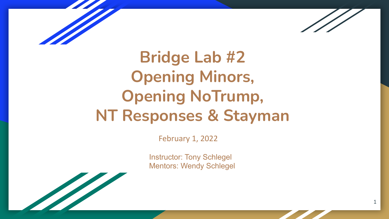

1

**Bridge Lab #2 Opening Minors, Opening NoTrump, NT Responses & Stayman**

February 1, 2022

Instructor: Tony Schlegel Mentors: Wendy Schlegel

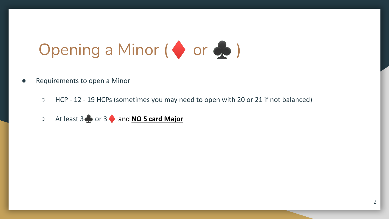# Opening a Minor  $($  or  $\clubsuit$ )

- Requirements to open a Minor
	- HCP 12 19 HCPs (sometimes you may need to open with 20 or 21 if not balanced)
	- At least 3 **b** or 3 and **NO 5 card Major**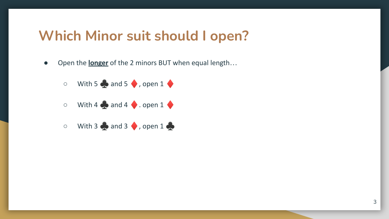### **Which Minor suit should I open?**

- Open the **longer** of the 2 minors BUT when equal length…
	- $\circ$  With 5  $\bullet$  and 5  $\bullet$  , open 1  $\bullet$
	- $\circ$  With 4  $\bullet$  and 4  $\bullet$  . open 1  $\bullet$
	- $\circ$  With 3  $\bullet$  and 3  $\bullet$  , open 1  $\bullet$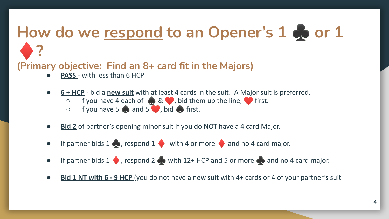## How do we respond to an Opener's 1 **♣** or 1 ♦**?**

#### **(Primary objective: Find an 8+ card fit in the Majors)**

- **PASS** with less than 6 HCP
- **6 + HCP** bid a **new suit** with at least 4 cards in the suit. A Major suit is preferred.
	- $\circ$  If you have 4 each of  $\bullet$  &  $\bullet$ , bid them up the line,  $\bullet$  first.
	- $\circ$  If you have 5  $\bullet$  and 5  $\bullet$ , bid  $\bullet$  first.
- **Bid 2** of partner's opening minor suit if you do NOT have a 4 card Major.
- If partner bids 1  $\bullet$ , respond 1 with 4 or more  $\bullet$  and no 4 card major.
- If partner bids 1 , respond 2  $\bullet$  with 12+ HCP and 5 or more  $\bullet$  and no 4 card major.
- **Bid 1 NT with 6 9 HCP** (you do not have a new suit with 4+ cards or 4 of your partner's suit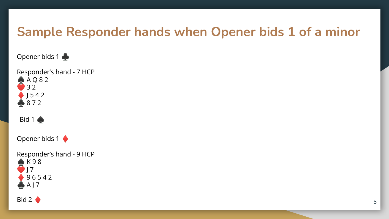### **Sample Responder hands when Opener bids 1 of a minor**

Opener bids 1

Responder's hand - 7 HCP A Q 8 2 3 2  $1542$ 8 7 2

Bid 1 $\clubsuit$ 

Opener bids 1

Responder's hand - 9 HCP  $K98$  J 7 9 6 5 4 2  $A$  J 7

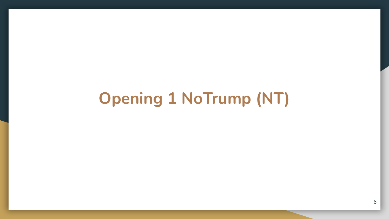## **Opening 1 NoTrump (NT)**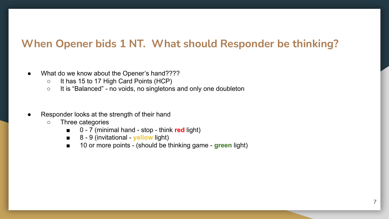#### **When Opener bids 1 NT. What should Responder be thinking?**

- What do we know about the Opener's hand????
	- It has 15 to 17 High Card Points (HCP)
	- It is "Balanced" no voids, no singletons and only one doubleton
- Responder looks at the strength of their hand
	- Three categories
		- 0 7 (minimal hand stop think **red** light)
		- 8 9 (invitational **yellow** light)
		- 10 or more points (should be thinking game **green** light)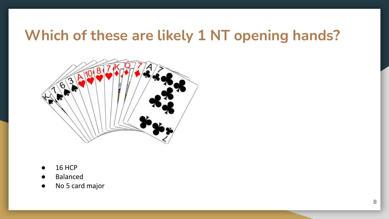### **Which of these are likely 1 NT opening hands?**



- 16 HCP
- Balanced
- No 5 card major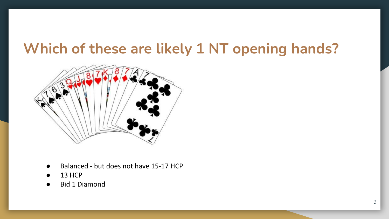### **Which of these are likely 1 NT opening hands?**



- Balanced but does not have 15-17 HCP
- 13 HCP
- Bid 1 Diamond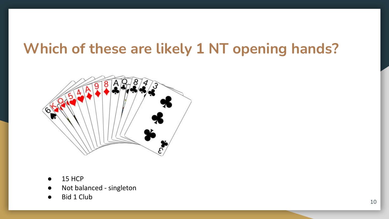### **Which of these are likely 1 NT opening hands?**



- 15 HCP
- Not balanced singleton
- Bid 1 Club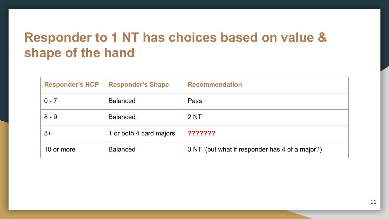### **Responder to 1 NT has choices based on value & shape of the hand**

| <b>Responder's HCP</b> | <b>Responder's Shape</b> | <b>Recommendation</b>                          |
|------------------------|--------------------------|------------------------------------------------|
| $0 - 7$                | <b>Balanced</b>          | Pass                                           |
| $8 - 9$                | <b>Balanced</b>          | 2 NT                                           |
| 8+                     | 1 or both 4 card majors  | ???????                                        |
| 10 or more             | <b>Balanced</b>          | 3 NT (but what if responder has 4 of a major?) |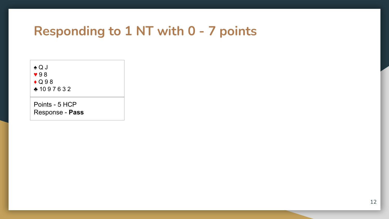#### **Responding to 1 NT with 0 - 7 points**



♣ 10 9 7 6 3 2

Points - 5 HCP Response - **Pass**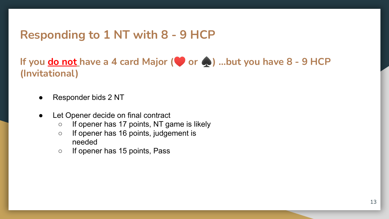#### **Responding to 1 NT with 8 - 9 HCP**

**If you do not have a 4 card Major (**♥ **or** ♠**) …but you have 8 - 9 HCP (Invitational)**

- Responder bids 2 NT
- Let Opener decide on final contract
	- If opener has 17 points, NT game is likely
	- If opener has 16 points, judgement is needed
	- If opener has 15 points, Pass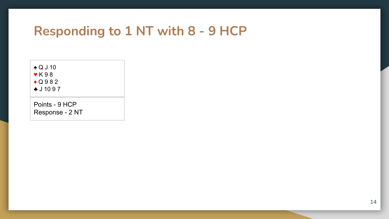#### **Responding to 1 NT with 8 - 9 HCP**

♠ Q J 10 ♥ K 9 8

 $\bigodot$  Q 9 8 2

♣ J 10 9 7

Points - 9 HCP Response - 2 NT

14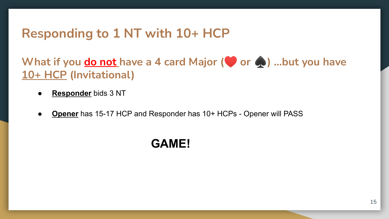### **Responding to 1 NT with 10+ HCP**

**What if you do not have a 4 card Major (♥ or ◆) …but you have 10+ HCP (Invitational)**

- **Responder** bids 3 NT
- **Opener** has 15-17 HCP and Responder has 10+ HCPs Opener will PASS

#### **GAME!**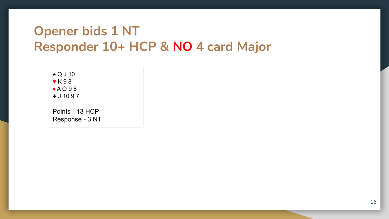### **Opener bids 1 NT Responder 10+ HCP & NO 4 card Major**

♠ Q J 10 ♥ K 9 8

 $A Q 98$ 

♣ J 10 9 7

Points - 13 HCP Response - 3 NT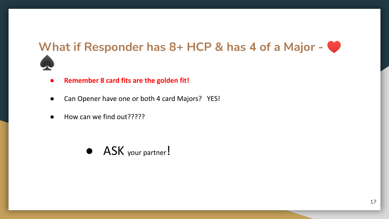#### What if Responder has 8+ HCP & has 4 of a Major -



- **● Remember 8 card fits are the golden fit!**
- Can Opener have one or both 4 card Majors? YES!
- How can we find out?????

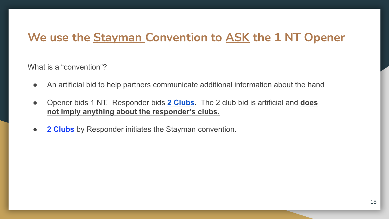#### **We use the Stayman Convention to ASK the 1 NT Opener**

What is a "convention"?

- An artificial bid to help partners communicate additional information about the hand
- Opener bids 1 NT. Responder bids **2 Clubs**. The 2 club bid is artificial and **does not imply anything about the responder's clubs.**
- **2 Clubs** by Responder initiates the Stayman convention.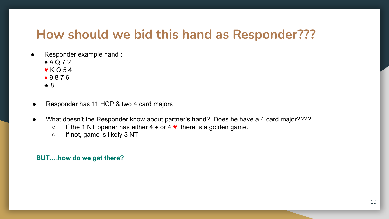#### **How should we bid this hand as Responder???**

- Responder example hand :
	- ♠ A Q 7 2
	- $\blacktriangledown$  K Q 54
	- ♦ 9 8 7 6
	- ♣ 8
- Responder has 11 HCP & two 4 card majors
- What doesn't the Responder know about partner's hand? Does he have a 4 card major????
	- If the 1 NT opener has either 4  $\triangle$  or 4  $\blacktriangledown$ , there is a golden game.
	- If not, game is likely 3 NT

#### **BUT….how do we get there?**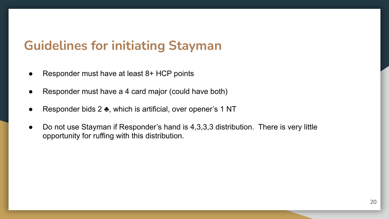### **Guidelines for initiating Stayman**

- Responder must have at least  $8+$  HCP points
- Responder must have a 4 card major (could have both)
- Responder bids 2  $\clubsuit$ , which is artificial, over opener's 1 NT
- Do not use Stayman if Responder's hand is 4,3,3,3 distribution. There is very little opportunity for ruffing with this distribution.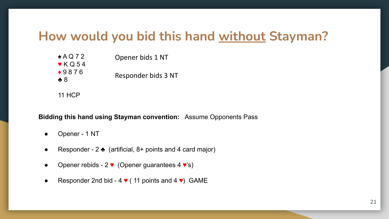#### **How would you bid this hand without Stayman?**

| Opener bids 1 NT    |  |
|---------------------|--|
|                     |  |
| Responder bids 3 NT |  |
|                     |  |
|                     |  |

11 HCP

**Bidding this hand using Stayman convention:** Assume Opponents Pass

- Opener 1 NT
- Responder 2  $\triangle$  (artificial, 8+ points and 4 card major)
- Opener rebids 2  $\bullet$  (Opener guarantees 4  $\bullet$ 's)
- Responder 2nd bid 4  $\blacktriangledown$  (11 points and 4  $\blacktriangledown$ ) GAME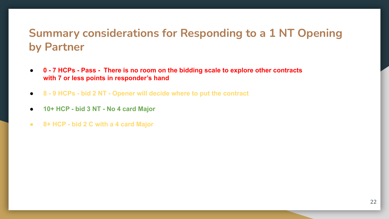#### **Summary considerations for Responding to a 1 NT Opening by Partner**

- **0 7 HCPs Pass There is no room on the bidding scale to explore other contracts with 7 or less points in responder's hand**
- **8 9 HCPs bid 2 NT Opener will decide where to put the contract**
- **10+ HCP bid 3 NT No 4 card Major**
- **● 8+ HCP bid 2 C with a 4 card Major**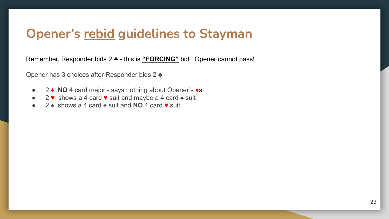#### **Opener's rebid guidelines to Stayman**

Remember, Responder bids 2 ♣ - this is **"FORCING"** bid. Opener cannot pass!

Opener has 3 choices after Responder bids 2 ♣

- 2 ♦ **NO** 4 card major says nothing about Opener's ♦s
- 2 ♥ shows a 4 card ♥ suit and maybe a 4 card ♠ suit
- 2 ♠ shows a 4 card ♠ suit and **NO** 4 card ♥ suit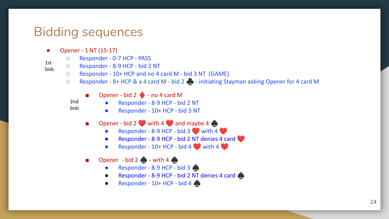### Bidding sequences

- Opener 1 NT (15-17)
	- Responder 0-7 HCP PASS
	- Responder 8-9 HCP bid 2 NT
		- Responder 10+ HCP and no 4 card M bid 3 NT (GAME)
		- Responder 8+ HCP & a 4 card M bid 2  $\bullet$  initiating Stayman asking Opener for 4 card M
			- $\Box$  Opener bid 2  $\blacklozenge$  no 4 card M
			- 2nd bids

1st bids

- Responder 8-9 HCP bid 2 NT
- Responder 10+ HCP bid 3 NT
- $\blacksquare$  Opener bid 2 with 4 and maybe 4  $\spadesuit$ 
	- Responder 8-9 HCP bid 3 with 4
	- Responder 8-9 HCP bid 2 NT denies 4 card
	- Responder  $10+$  HCP bid 4 with 4
- Opener bid 2  $\bigcirc$  with 4  $\bigcirc$ 
	- Responder 8-9 HCP bid 3
	- Responder 8-9 HCP bid 2 NT denies 4 card
	- **•** Responder  $10+$  HCP bid 4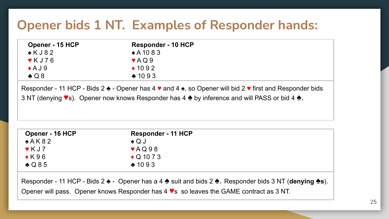### **Opener bids 1 NT. Examples of Responder hands:**

| Opener - 15 HCP           | <b>Responder - 10 HCP</b> |  |
|---------------------------|---------------------------|--|
| $\triangle$ KJ82          | $*$ A 10 8 3              |  |
| $\blacktriangledown$ KJ76 | $\blacktriangledown$ AQ9  |  |
| $\triangle$ AJ9           | $\triangle$ 1092          |  |
| $\triangle Q8$            | $*1093$                   |  |
|                           |                           |  |

Responder - 11 HCP - Bids 2 ♣ - Opener has 4 ♥ and 4 ♠, so Opener will bid 2 ♥ first and Responder bids 3 NT (denying ♥s). Opener now knows Responder has 4 ♠ by inference and will PASS or bid 4 ♠.

| Opener - 16 HCP            | Responder - 11 HCP        |  |
|----------------------------|---------------------------|--|
| A K 82                     | $\triangle Q$ J           |  |
| $\blacktriangledown$ K J 7 | $\blacktriangledown$ AQ98 |  |
| $\triangle$ K96            | $\triangle$ Q 10 7 3      |  |
| $\triangle$ Q85            | $*1093$                   |  |

Responder - 11 HCP - Bids 2 ♣ - Opener has a 4 ♠ suit and bids 2 ♠. Responder bids 3 NT (**denying ♠s**). Opener will pass. Opener knows Responder has 4 ♥s so leaves the GAME contract as 3 NT.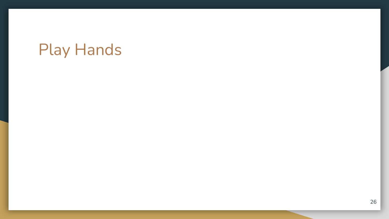## Play Hands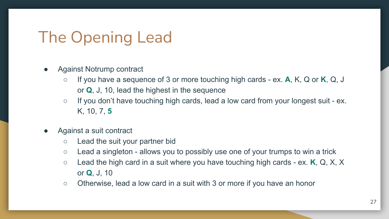## The Opening Lead

- Against Notrump contract
	- If you have a sequence of 3 or more touching high cards ex. **A**, K, Q or **K**, Q, J or **Q**, J, 10, lead the highest in the sequence
	- If you don't have touching high cards, lead a low card from your longest suit ex. K, 10, 7, **5**
- Against a suit contract
	- Lead the suit your partner bid
	- Lead a singleton allows you to possibly use one of your trumps to win a trick
	- Lead the high card in a suit where you have touching high cards ex. **K**, Q, X, X or **Q**, J, 10
	- Otherwise, lead a low card in a suit with 3 or more if you have an honor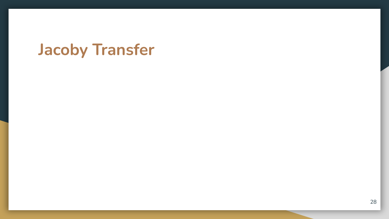## **Jacoby Transfer**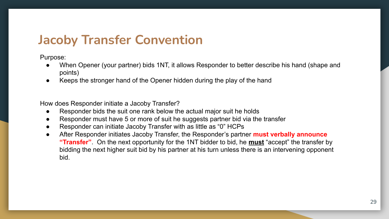#### **Jacoby Transfer Convention**

Purpose:

- When Opener (your partner) bids 1NT, it allows Responder to better describe his hand (shape and points)
- Keeps the stronger hand of the Opener hidden during the play of the hand

How does Responder initiate a Jacoby Transfer?

- Responder bids the suit one rank below the actual major suit he holds
- Responder must have 5 or more of suit he suggests partner bid via the transfer
- Responder can initiate Jacoby Transfer with as little as "0" HCPs
- After Responder initiates Jacoby Transfer, the Responder's partner **must verbally announce "Transfer"**. On the next opportunity for the 1NT bidder to bid, he **must** "accept" the transfer by bidding the next higher suit bid by his partner at his turn unless there is an intervening opponent bid.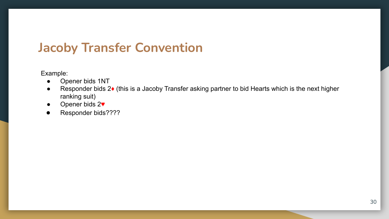### **Jacoby Transfer Convention**

Example:

- Opener bids 1NT
- Responder bids 2♦ (this is a Jacoby Transfer asking partner to bid Hearts which is the next higher ranking suit)
- Opener bids 2♥
- Responder bids????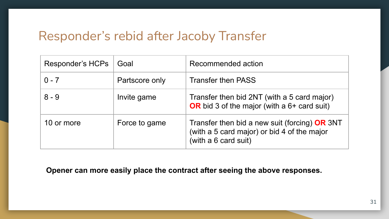#### Responder's rebid after Jacoby Transfer

| Responder's HCPs | Goal           | Recommended action                                                                                                     |
|------------------|----------------|------------------------------------------------------------------------------------------------------------------------|
| $0 - 7$          | Partscore only | <b>Transfer then PASS</b>                                                                                              |
| $8 - 9$          | Invite game    | Transfer then bid 2NT (with a 5 card major)<br>OR bid 3 of the major (with a $6+$ card suit)                           |
| 10 or more       | Force to game  | Transfer then bid a new suit (forcing) $OR$ 3NT<br>(with a 5 card major) or bid 4 of the major<br>(with a 6 card suit) |

**Opener can more easily place the contract after seeing the above responses.**